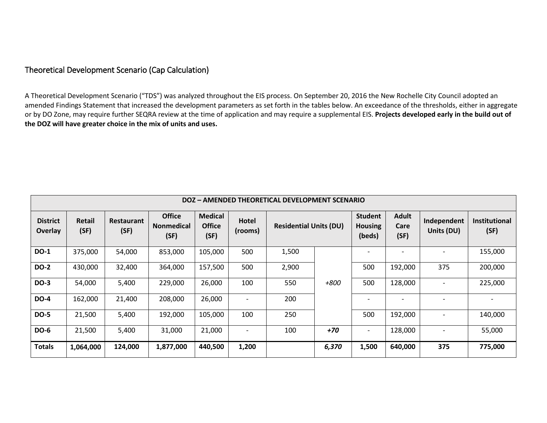## Theoretical Development Scenario (Cap Calculation)

A Theoretical Development Scenario ("TDS") was analyzed throughout the EIS process. On September 20, 2016 the New Rochelle City Council adopted an amended Findings Statement that increased the development parameters as set forth in the tables below. An exceedance of the thresholds, either in aggregate or by DO Zone, may require further SEQRA review at the time of application and may require a supplemental EIS. **Projects developed early in the build out of the DOZ will have greater choice in the mix of units and uses.**

| DOZ - AMENDED THEORETICAL DEVELOPMENT SCENARIO |                       |                           |                                            |                                         |                          |                               |       |                                            |                              |                           |                              |
|------------------------------------------------|-----------------------|---------------------------|--------------------------------------------|-----------------------------------------|--------------------------|-------------------------------|-------|--------------------------------------------|------------------------------|---------------------------|------------------------------|
| <b>District</b><br><b>Overlay</b>              | <b>Retail</b><br>(SF) | <b>Restaurant</b><br>(SF) | <b>Office</b><br><b>Nonmedical</b><br>(SF) | <b>Medical</b><br><b>Office</b><br>(SF) | Hotel<br>(rooms)         | <b>Residential Units (DU)</b> |       | <b>Student</b><br><b>Housing</b><br>(beds) | <b>Adult</b><br>Care<br>(SF) | Independent<br>Units (DU) | <b>Institutional</b><br>(SF) |
| <b>DO-1</b>                                    | 375,000               | 54,000                    | 853,000                                    | 105,000                                 | 500                      | 1,500                         |       |                                            |                              |                           | 155,000                      |
| <b>DO-2</b>                                    | 430,000               | 32,400                    | 364,000                                    | 157,500                                 | 500                      | 2,900                         | +800  | 500                                        | 192,000                      | 375                       | 200,000                      |
| <b>DO-3</b>                                    | 54,000                | 5,400                     | 229,000                                    | 26,000                                  | 100                      | 550                           |       | 500                                        | 128,000                      |                           | 225,000                      |
| <b>DO-4</b>                                    | 162,000               | 21,400                    | 208,000                                    | 26,000                                  |                          | 200                           |       |                                            |                              |                           |                              |
| <b>DO-5</b>                                    | 21,500                | 5,400                     | 192,000                                    | 105,000                                 | 100                      | 250                           |       | 500                                        | 192,000                      | $\overline{\phantom{0}}$  | 140,000                      |
| <b>DO-6</b>                                    | 21,500                | 5,400                     | 31,000                                     | 21,000                                  | $\overline{\phantom{a}}$ | 100                           | $+70$ | $\overline{\phantom{0}}$                   | 128,000                      | $\overline{\phantom{0}}$  | 55,000                       |
| <b>Totals</b>                                  | 1,064,000             | 124,000                   | 1,877,000                                  | 440,500                                 | 1,200                    |                               | 6,370 | 1,500                                      | 640,000                      | 375                       | 775,000                      |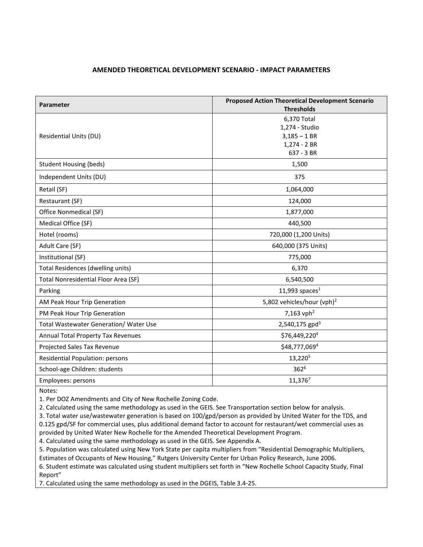## **AMENDED THEORETICAL DEVELOPMENT SCENARIO - IMPACT PARAMETERS**

| Parameter                                     | <b>Proposed Action Theoretical Development Scenario</b><br><b>Thresholds</b> |  |  |  |  |
|-----------------------------------------------|------------------------------------------------------------------------------|--|--|--|--|
|                                               | 6,370 Total                                                                  |  |  |  |  |
|                                               | 1,274 - Studio                                                               |  |  |  |  |
| Residential Units (DU)                        | $3,185 - 1$ BR                                                               |  |  |  |  |
|                                               | 1,274 - 2 BR                                                                 |  |  |  |  |
|                                               | 637 - 3 BR                                                                   |  |  |  |  |
| <b>Student Housing (beds)</b>                 | 1,500                                                                        |  |  |  |  |
| Independent Units (DU)                        | 375                                                                          |  |  |  |  |
| Retail (SF)                                   | 1,064,000                                                                    |  |  |  |  |
| Restaurant (SF)                               | 124,000                                                                      |  |  |  |  |
| Office Nonmedical (SF)                        | 1,877,000                                                                    |  |  |  |  |
| Medical Office (SF)                           | 440,500                                                                      |  |  |  |  |
| Hotel (rooms)                                 | 720,000 (1,200 Units)                                                        |  |  |  |  |
| Adult Care (SF)                               | 640,000 (375 Units)                                                          |  |  |  |  |
| Institutional (SF)                            | 775,000                                                                      |  |  |  |  |
| Total Residences (dwelling units)             | 6,370                                                                        |  |  |  |  |
| Total Nonresidential Floor Area (SF)          | 6,540,500                                                                    |  |  |  |  |
| Parking                                       | 11,993 spaces $1$                                                            |  |  |  |  |
| AM Peak Hour Trip Generation                  | 5,802 vehicles/hour (vph) <sup>2</sup>                                       |  |  |  |  |
| PM Peak Hour Trip Generation                  | 7,163 vph <sup>2</sup>                                                       |  |  |  |  |
| <b>Total Wastewater Generation/ Water Use</b> | 2,540,175 gpd <sup>3</sup>                                                   |  |  |  |  |
| Annual Total Property Tax Revenues            | \$76,449,220 <sup>4</sup>                                                    |  |  |  |  |
| Projected Sales Tax Revenue                   | \$48,777,0694                                                                |  |  |  |  |
| Residential Population: persons               | 13,220 <sup>5</sup>                                                          |  |  |  |  |
| School-age Children: students                 | $362^{6}$                                                                    |  |  |  |  |
| Employees: persons                            | 11,3767                                                                      |  |  |  |  |

Notes:

1. Per DOZ Amendments and City of New Rochelle Zoning Code.

2. Calculated using the same methodology as used in the GEIS. See Transportation section below for analysis.

3. Total water use/wastewater generation is based on 100/gpd/person as provided by United Water for the TDS, and 0.125 gpd/SF for commercial uses, plus additional demand factor to account for restaurant/wet commercial uses as

provided by United Water New Rochelle for the Amended Theoretical Development Program.

4. Calculated using the same methodology as used in the GEIS. See Appendix A.

5. Population was calculated using New York State per capita multipliers from "Residential Demographic Multipliers, Estimates of Occupants of New Housing," Rutgers University Center for Urban Policy Research, June 2006.

6. Student estimate was calculated using student multipliers set forth in "New Rochelle School Capacity Study, Final Report"

7. Calculated using the same methodology as used in the DGEIS, Table 3.4-25.